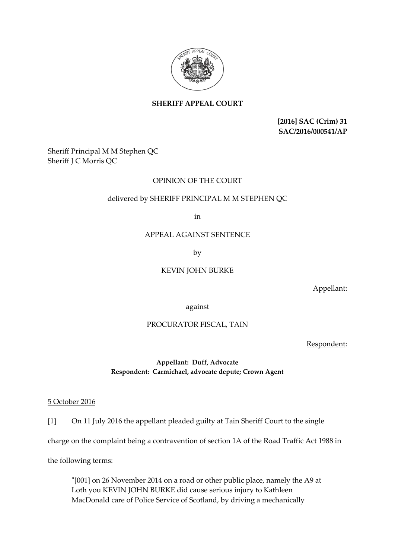

# **SHERIFF APPEAL COURT**

**[2016] SAC (Crim) 31 SAC/2016/000541/AP**

Sheriff Principal M M Stephen QC Sheriff J C Morris QC

## OPINION OF THE COURT

## delivered by SHERIFF PRINCIPAL M M STEPHEN QC

in

#### APPEAL AGAINST SENTENCE

by

## KEVIN JOHN BURKE

Appellant:

against

### PROCURATOR FISCAL, TAIN

Respondent:

**Appellant: Duff, Advocate Respondent: Carmichael, advocate depute; Crown Agent**

5 October 2016

[1] On 11 July 2016 the appellant pleaded guilty at Tain Sheriff Court to the single

charge on the complaint being a contravention of section 1A of the Road Traffic Act 1988 in

the following terms:

"[001] on 26 November 2014 on a road or other public place, namely the A9 at Loth you KEVIN JOHN BURKE did cause serious injury to Kathleen MacDonald care of Police Service of Scotland, by driving a mechanically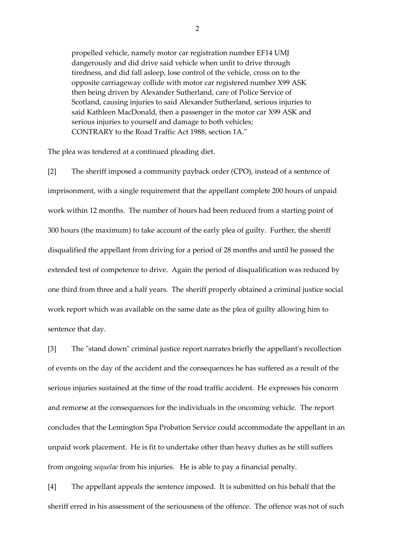propelled vehicle, namely motor car registration number EF14 UMJ dangerously and did drive said vehicle when unfit to drive through tiredness, and did fall asleep, lose control of the vehicle, cross on to the opposite carriageway collide with motor car registered number X99 ASK then being driven by Alexander Sutherland, care of Police Service of Scotland, causing injuries to said Alexander Sutherland, serious injuries to said Kathleen MacDonald, then a passenger in the motor car X99 ASK and serious injuries to yourself and damage to both vehicles; CONTRARY to the Road Traffic Act 1988, section 1A."

The plea was tendered at a continued pleading diet.

[2] The sheriff imposed a community payback order (CPO), instead of a sentence of imprisonment, with a single requirement that the appellant complete 200 hours of unpaid work within 12 months. The number of hours had been reduced from a starting point of 300 hours (the maximum) to take account of the early plea of guilty. Further, the sheriff disqualified the appellant from driving for a period of 28 months and until he passed the extended test of competence to drive. Again the period of disqualification was reduced by one third from three and a half years. The sheriff properly obtained a criminal justice social work report which was available on the same date as the plea of guilty allowing him to sentence that day.

[3] The "stand down" criminal justice report narrates briefly the appellant's recollection of events on the day of the accident and the consequences he has suffered as a result of the serious injuries sustained at the time of the road traffic accident. He expresses his concern and remorse at the consequences for the individuals in the oncoming vehicle. The report concludes that the Lemington Spa Probation Service could accommodate the appellant in an unpaid work placement. He is fit to undertake other than heavy duties as he still suffers from ongoing *sequelae* from his injuries. He is able to pay a financial penalty.

[4] The appellant appeals the sentence imposed. It is submitted on his behalf that the sheriff erred in his assessment of the seriousness of the offence. The offence was not of such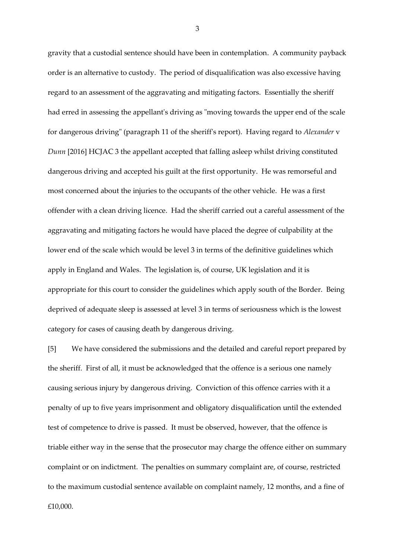gravity that a custodial sentence should have been in contemplation. A community payback order is an alternative to custody. The period of disqualification was also excessive having regard to an assessment of the aggravating and mitigating factors. Essentially the sheriff had erred in assessing the appellant's driving as "moving towards the upper end of the scale for dangerous driving" (paragraph 11 of the sheriff's report). Having regard to *Alexander* v *Dunn* [2016] HCJAC 3 the appellant accepted that falling asleep whilst driving constituted dangerous driving and accepted his guilt at the first opportunity. He was remorseful and most concerned about the injuries to the occupants of the other vehicle. He was a first offender with a clean driving licence. Had the sheriff carried out a careful assessment of the aggravating and mitigating factors he would have placed the degree of culpability at the lower end of the scale which would be level 3 in terms of the definitive guidelines which apply in England and Wales. The legislation is, of course, UK legislation and it is appropriate for this court to consider the guidelines which apply south of the Border. Being deprived of adequate sleep is assessed at level 3 in terms of seriousness which is the lowest category for cases of causing death by dangerous driving.

[5] We have considered the submissions and the detailed and careful report prepared by the sheriff. First of all, it must be acknowledged that the offence is a serious one namely causing serious injury by dangerous driving. Conviction of this offence carries with it a penalty of up to five years imprisonment and obligatory disqualification until the extended test of competence to drive is passed. It must be observed, however, that the offence is triable either way in the sense that the prosecutor may charge the offence either on summary complaint or on indictment. The penalties on summary complaint are, of course, restricted to the maximum custodial sentence available on complaint namely, 12 months, and a fine of £10,000.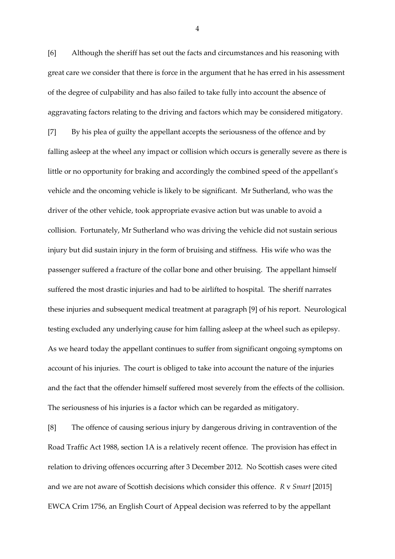[6] Although the sheriff has set out the facts and circumstances and his reasoning with great care we consider that there is force in the argument that he has erred in his assessment of the degree of culpability and has also failed to take fully into account the absence of aggravating factors relating to the driving and factors which may be considered mitigatory. [7] By his plea of guilty the appellant accepts the seriousness of the offence and by falling asleep at the wheel any impact or collision which occurs is generally severe as there is little or no opportunity for braking and accordingly the combined speed of the appellant's vehicle and the oncoming vehicle is likely to be significant. Mr Sutherland, who was the driver of the other vehicle, took appropriate evasive action but was unable to avoid a collision. Fortunately, Mr Sutherland who was driving the vehicle did not sustain serious injury but did sustain injury in the form of bruising and stiffness. His wife who was the passenger suffered a fracture of the collar bone and other bruising. The appellant himself suffered the most drastic injuries and had to be airlifted to hospital. The sheriff narrates these injuries and subsequent medical treatment at paragraph [9] of his report. Neurological testing excluded any underlying cause for him falling asleep at the wheel such as epilepsy. As we heard today the appellant continues to suffer from significant ongoing symptoms on account of his injuries. The court is obliged to take into account the nature of the injuries and the fact that the offender himself suffered most severely from the effects of the collision. The seriousness of his injuries is a factor which can be regarded as mitigatory.

[8] The offence of causing serious injury by dangerous driving in contravention of the Road Traffic Act 1988, section 1A is a relatively recent offence. The provision has effect in relation to driving offences occurring after 3 December 2012. No Scottish cases were cited and we are not aware of Scottish decisions which consider this offence. *R* v *Smart* [2015] EWCA Crim 1756, an English Court of Appeal decision was referred to by the appellant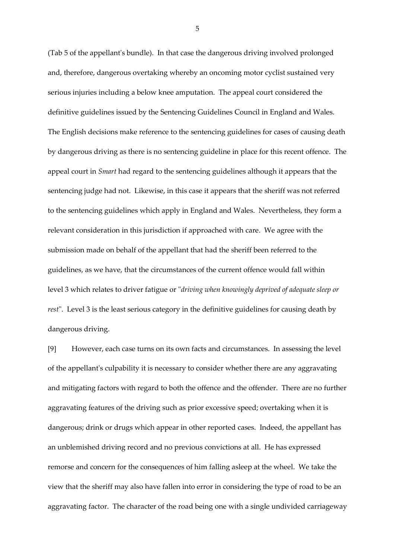(Tab 5 of the appellant's bundle). In that case the dangerous driving involved prolonged and, therefore, dangerous overtaking whereby an oncoming motor cyclist sustained very serious injuries including a below knee amputation. The appeal court considered the definitive guidelines issued by the Sentencing Guidelines Council in England and Wales. The English decisions make reference to the sentencing guidelines for cases of causing death by dangerous driving as there is no sentencing guideline in place for this recent offence. The appeal court in *Smart* had regard to the sentencing guidelines although it appears that the sentencing judge had not. Likewise, in this case it appears that the sheriff was not referred to the sentencing guidelines which apply in England and Wales. Nevertheless, they form a relevant consideration in this jurisdiction if approached with care. We agree with the submission made on behalf of the appellant that had the sheriff been referred to the guidelines, as we have, that the circumstances of the current offence would fall within level 3 which relates to driver fatigue or "*driving when knowingly deprived of adequate sleep or rest*". Level 3 is the least serious category in the definitive guidelines for causing death by dangerous driving.

[9] However, each case turns on its own facts and circumstances. In assessing the level of the appellant's culpability it is necessary to consider whether there are any aggravating and mitigating factors with regard to both the offence and the offender. There are no further aggravating features of the driving such as prior excessive speed; overtaking when it is dangerous; drink or drugs which appear in other reported cases. Indeed, the appellant has an unblemished driving record and no previous convictions at all. He has expressed remorse and concern for the consequences of him falling asleep at the wheel. We take the view that the sheriff may also have fallen into error in considering the type of road to be an aggravating factor. The character of the road being one with a single undivided carriageway